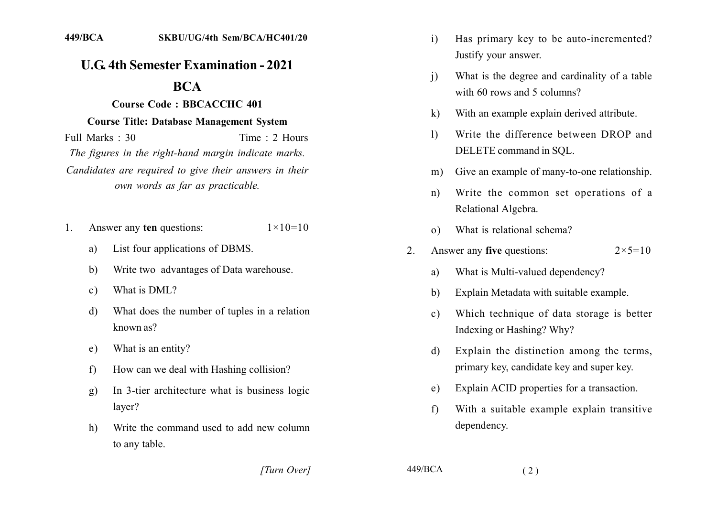# **U.G. 4th Semester Examination - 2021**

# **BCA**

#### Course Code: BBCACCHC 401

#### **Course Title: Database Management System**

Full Marks  $\cdot$  30 Time  $\cdot$  2 Hours The figures in the right-hand margin indicate marks. Candidates are required to give their answers in their own words as far as practicable.

- Answer any ten questions:  $1 \times 10 = 10$  $1$ 
	- List four applications of DBMS. a)
	- Write two advantages of Data warehouse.  $b)$
	- What is DML?  $\mathbf{c}$ )
	- What does the number of tuples in a relation  $\mathbf{d}$ known as?
	- What is an entity?  $e)$
	- How can we deal with Hashing collision?  $f$
	- In 3-tier architecture what is business logic  $g)$ laver?
	- $h)$ Write the command used to add new column to any table.
- Has primary key to be auto-incremented?  $i)$ Justify your answer.
- What is the degree and cardinality of a table  $\mathbf{i}$ with 60 rows and 5 columns?
- With an example explain derived attribute.  $\bf k$
- Write the difference between DROP and  $\mathbf{D}$ DELETE command in SOL.
- Give an example of many-to-one relationship.  $m$ )
- Write the common set operations of a  $n)$ Relational Algebra.
- What is relational schema?  $\Omega$
- Answer any five questions:  $2^{\circ}$  $2 \times 5 = 10$ 
	- What is Multi-valued dependency? a)
	- Explain Metadata with suitable example.  $h)$
	- Which technique of data storage is better  $\mathcal{C}$ ) Indexing or Hashing? Why?
	- Explain the distinction among the terms, d) primary key, candidate key and super key.
	- Explain ACID properties for a transaction.  $e)$
	- With a suitable example explain transitive  $f$ dependency.

[Turn Over]

449/BCA

 $(2)$